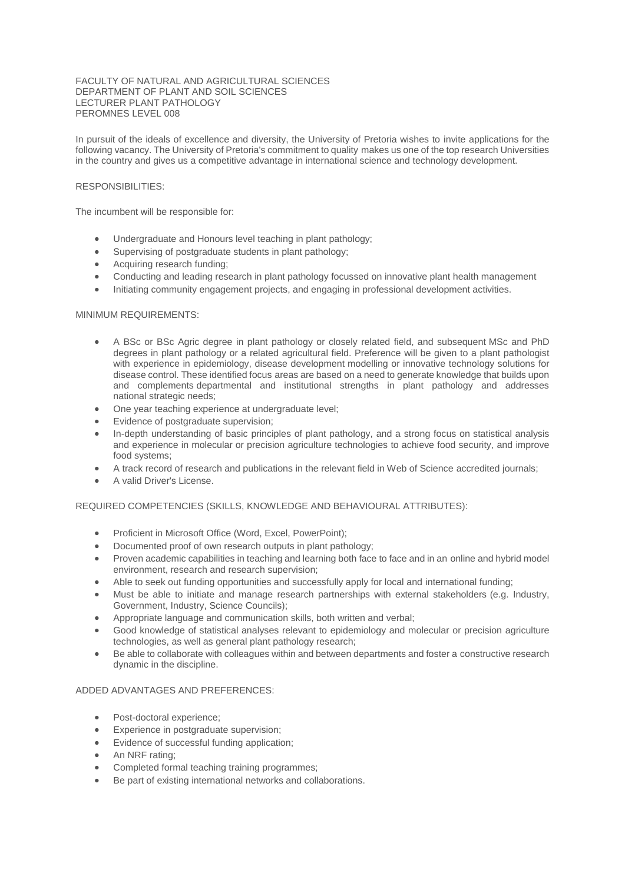### FACULTY OF NATURAL AND AGRICULTURAL SCIENCES DEPARTMENT OF PLANT AND SOIL SCIENCES LECTURER PLANT PATHOLOGY PEROMNES LEVEL 008

In pursuit of the ideals of excellence and diversity, the University of Pretoria wishes to invite applications for the following vacancy. The University of Pretoria's commitment to quality makes us one of the top research Universities in the country and gives us a competitive advantage in international science and technology development.

# RESPONSIBILITIES:

The incumbent will be responsible for:

- Undergraduate and Honours level teaching in plant pathology;
- Supervising of postgraduate students in plant pathology;
- Acquiring research funding;
- Conducting and leading research in plant pathology focussed on innovative plant health management
- Initiating community engagement projects, and engaging in professional development activities.

#### MINIMUM REQUIREMENTS:

- A BSc or BSc Agric degree in plant pathology or closely related field, and subsequent MSc and PhD degrees in plant pathology or a related agricultural field. Preference will be given to a plant pathologist with experience in epidemiology, disease development modelling or innovative technology solutions for disease control. These identified focus areas are based on a need to generate knowledge that builds upon and complements departmental and institutional strengths in plant pathology and addresses national strategic needs;
- One year teaching experience at undergraduate level:
- Evidence of postgraduate supervision:
- In-depth understanding of basic principles of plant pathology, and a strong focus on statistical analysis and experience in molecular or precision agriculture technologies to achieve food security, and improve food systems;
- A track record of research and publications in the relevant field in Web of Science accredited journals;
- A valid Driver's License.

#### REQUIRED COMPETENCIES (SKILLS, KNOWLEDGE AND BEHAVIOURAL ATTRIBUTES):

- Proficient in Microsoft Office (Word, Excel, PowerPoint);
- Documented proof of own research outputs in plant pathology;
- Proven academic capabilities in teaching and learning both face to face and in an online and hybrid model environment, research and research supervision;
- Able to seek out funding opportunities and successfully apply for local and international funding;
- Must be able to initiate and manage research partnerships with external stakeholders (e.g. Industry, Government, Industry, Science Councils);
- Appropriate language and communication skills, both written and verbal;
- Good knowledge of statistical analyses relevant to epidemiology and molecular or precision agriculture technologies, as well as general plant pathology research;
- Be able to collaborate with colleagues within and between departments and foster a constructive research dynamic in the discipline.

### ADDED ADVANTAGES AND PREFERENCES:

- Post-doctoral experience;
- Experience in postgraduate supervision:
- Evidence of successful funding application:
- An NRF rating;
- Completed formal teaching training programmes;
- Be part of existing international networks and collaborations.